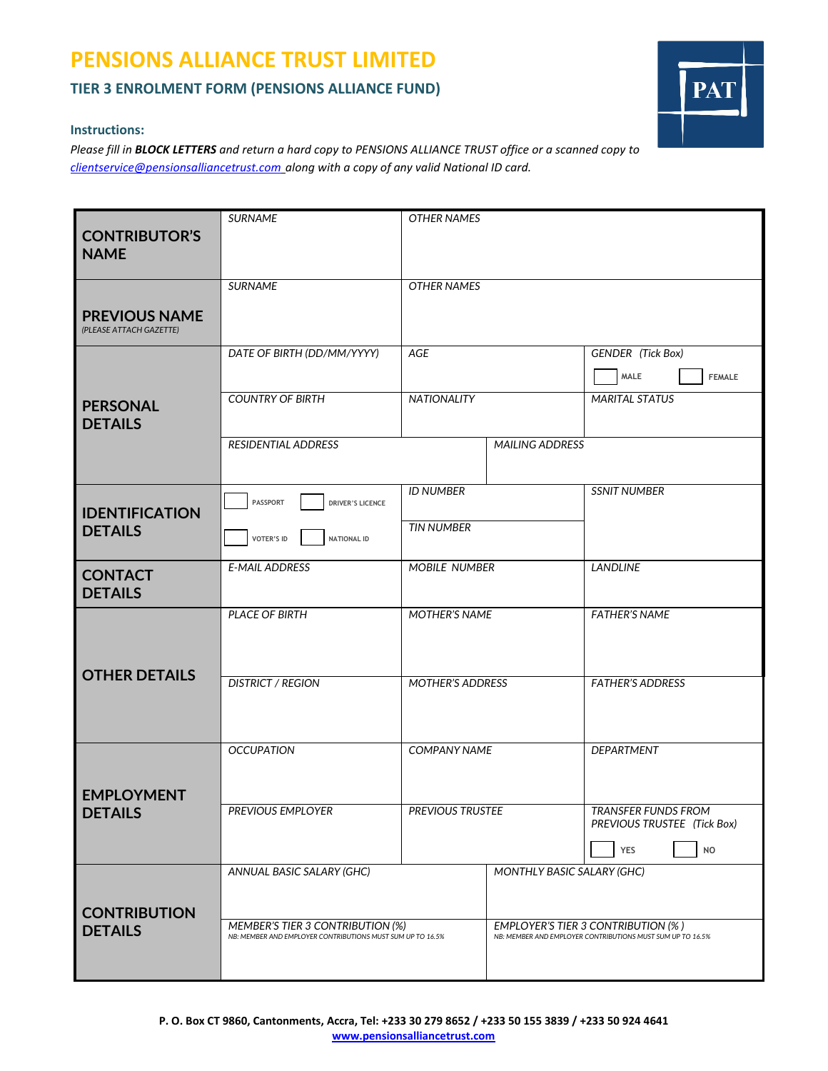# **PENSIONS ALLIANCE TRUST LIMITED**

### **TIER 3 ENROLMENT FORM (PENSIONS ALLIANCE FUND)**

#### **Instructions:**

*Please fill in BLOCK LETTERS and return a hard copy to PENSIONS ALLIANCE TRUST office or a scanned copy to [clientservice@pensionsalliancetrust.com](mailto:clientservice@pensionsalliancetrust.com) along with a copy of any valid National ID card.*

| <b>CONTRIBUTOR'S</b><br><b>NAME</b>             | <b>SURNAME</b>                                                                                 | <b>OTHER NAMES</b>      |                                                                                                         |                                                           |  |
|-------------------------------------------------|------------------------------------------------------------------------------------------------|-------------------------|---------------------------------------------------------------------------------------------------------|-----------------------------------------------------------|--|
|                                                 | <b>SURNAME</b>                                                                                 | <b>OTHER NAMES</b>      |                                                                                                         |                                                           |  |
| <b>PREVIOUS NAME</b><br>(PLEASE ATTACH GAZETTE) |                                                                                                |                         |                                                                                                         |                                                           |  |
|                                                 | DATE OF BIRTH (DD/MM/YYYY)                                                                     | <b>AGE</b>              |                                                                                                         | <b>GENDER</b> (Tick Box)                                  |  |
| <b>PERSONAL</b><br><b>DETAILS</b>               |                                                                                                |                         |                                                                                                         | MALE<br><b>FEMALE</b>                                     |  |
|                                                 | <b>COUNTRY OF BIRTH</b>                                                                        | <b>NATIONALITY</b>      |                                                                                                         | <b>MARITAL STATUS</b>                                     |  |
|                                                 | RESIDENTIAL ADDRESS                                                                            | <b>MAILING ADDRESS</b>  |                                                                                                         |                                                           |  |
|                                                 |                                                                                                |                         |                                                                                                         |                                                           |  |
| <b>IDENTIFICATION</b><br><b>DETAILS</b>         | <b>PASSPORT</b><br><b>DRIVER'S LICENCE</b>                                                     | <b>ID NUMBER</b>        |                                                                                                         | <b>SSNIT NUMBER</b>                                       |  |
|                                                 | VOTER'S ID<br><b>NATIONAL ID</b>                                                               | <b>TIN NUMBER</b>       |                                                                                                         |                                                           |  |
|                                                 | <b>E-MAIL ADDRESS</b>                                                                          | <b>MOBILE NUMBER</b>    |                                                                                                         | <b>LANDLINE</b>                                           |  |
| <b>CONTACT</b>                                  |                                                                                                |                         |                                                                                                         |                                                           |  |
| <b>DETAILS</b>                                  |                                                                                                |                         |                                                                                                         |                                                           |  |
|                                                 | <b>PLACE OF BIRTH</b>                                                                          | <b>MOTHER'S NAME</b>    |                                                                                                         | <b>FATHER'S NAME</b>                                      |  |
|                                                 |                                                                                                |                         |                                                                                                         |                                                           |  |
|                                                 |                                                                                                |                         |                                                                                                         |                                                           |  |
| <b>OTHER DETAILS</b>                            | <b>DISTRICT / REGION</b>                                                                       | <b>MOTHER'S ADDRESS</b> |                                                                                                         | <b>FATHER'S ADDRESS</b>                                   |  |
|                                                 |                                                                                                |                         |                                                                                                         |                                                           |  |
|                                                 |                                                                                                |                         |                                                                                                         |                                                           |  |
| <b>EMPLOYMENT</b><br><b>DETAILS</b>             | <b>OCCUPATION</b>                                                                              | <b>COMPANY NAME</b>     |                                                                                                         | <b>DEPARTMENT</b>                                         |  |
|                                                 |                                                                                                |                         |                                                                                                         |                                                           |  |
|                                                 |                                                                                                |                         |                                                                                                         |                                                           |  |
|                                                 | PREVIOUS EMPLOYER                                                                              | PREVIOUS TRUSTEE        |                                                                                                         | <b>TRANSFER FUNDS FROM</b><br>PREVIOUS TRUSTEE (Tick Box) |  |
|                                                 |                                                                                                |                         |                                                                                                         | YES<br><b>NO</b>                                          |  |
|                                                 | ANNUAL BASIC SALARY (GHC)                                                                      |                         | <b>MONTHLY BASIC SALARY (GHC)</b>                                                                       |                                                           |  |
| <b>CONTRIBUTION</b><br><b>DETAILS</b>           |                                                                                                |                         |                                                                                                         |                                                           |  |
|                                                 |                                                                                                |                         |                                                                                                         |                                                           |  |
|                                                 | MEMBER'S TIER 3 CONTRIBUTION (%)<br>NB: MEMBER AND EMPLOYER CONTRIBUTIONS MUST SUM UP TO 16.5% |                         | <b>EMPLOYER'S TIER 3 CONTRIBUTION (%)</b><br>NB: MEMBER AND EMPLOYER CONTRIBUTIONS MUST SUM UP TO 16.5% |                                                           |  |
|                                                 |                                                                                                |                         |                                                                                                         |                                                           |  |